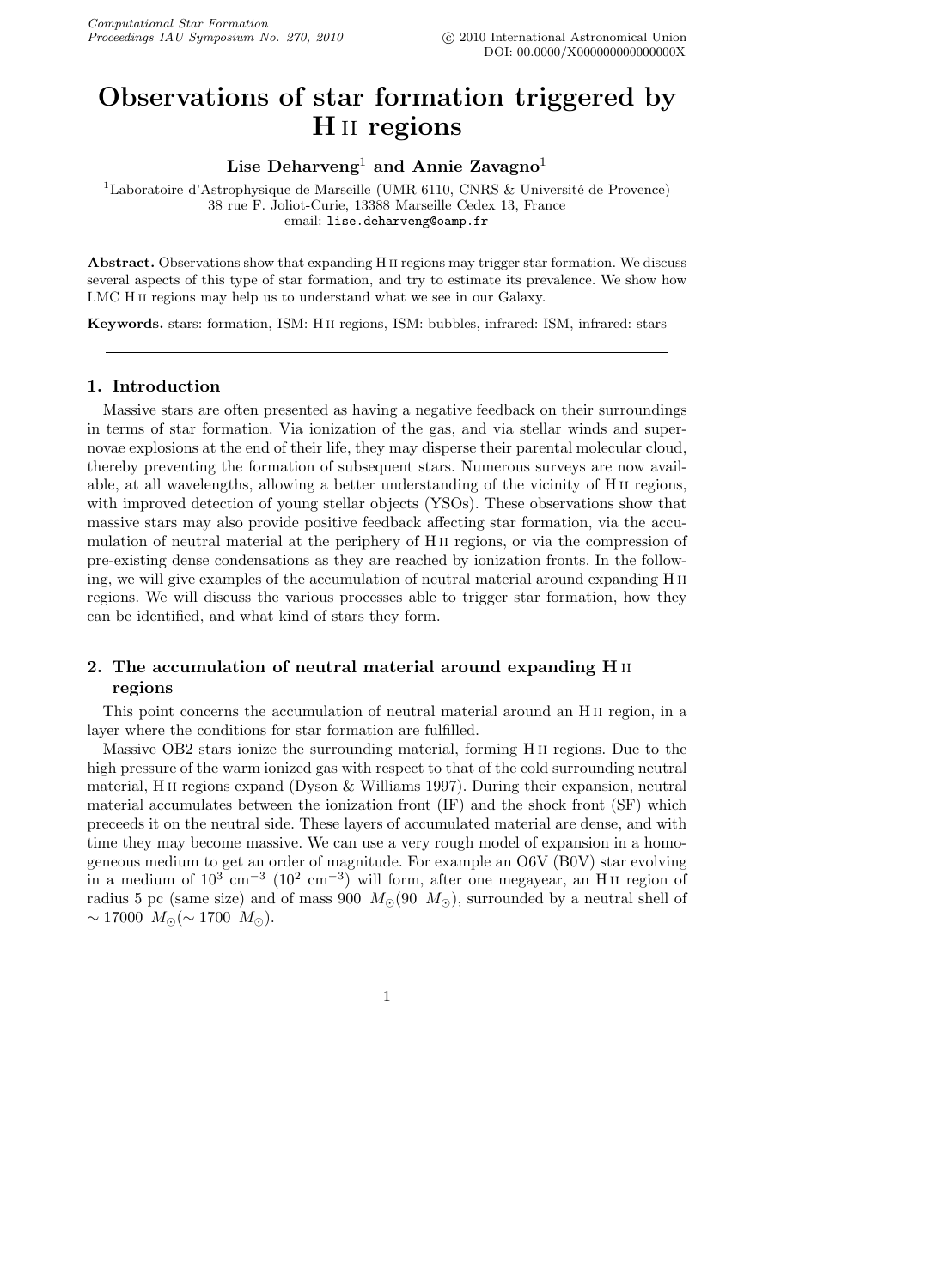# **Observations of star formation triggered by H** ii **regions**

# Lise Deharveng<sup>1</sup> and Annie Zavagno<sup>1</sup>

 $1$ Laboratoire d'Astrophysique de Marseille (UMR 6110, CNRS & Université de Provence) 38 rue F. Joliot-Curie, 13388 Marseille Cedex 13, France email: lise.deharveng@oamp.fr

Abstract. Observations show that expanding H<sub>II</sub> regions may trigger star formation. We discuss several aspects of this type of star formation, and try to estimate its prevalence. We show how LMC H<sub>II</sub> regions may help us to understand what we see in our Galaxy.

**Keywords.** stars: formation, ISM: H ii regions, ISM: bubbles, infrared: ISM, infrared: stars

#### **1. Introduction**

Massive stars are often presented as having a negative feedback on their surroundings in terms of star formation. Via ionization of the gas, and via stellar winds and supernovae explosions at the end of their life, they may disperse their parental molecular cloud, thereby preventing the formation of subsequent stars. Numerous surveys are now available, at all wavelengths, allowing a better understanding of the vicinity of H<sub>II</sub> regions, with improved detection of young stellar objects (YSOs). These observations show that massive stars may also provide positive feedback affecting star formation, via the accumulation of neutral material at the periphery of H ii regions, or via the compression of pre-existing dense condensations as they are reached by ionization fronts. In the following, we will give examples of the accumulation of neutral material around expanding H<sub>II</sub> regions. We will discuss the various processes able to trigger star formation, how they can be identified, and what kind of stars they form.

# **2. The accumulation of neutral material around expanding H** ii **regions**

This point concerns the accumulation of neutral material around an H<sub>II</sub> region, in a layer where the conditions for star formation are fulfilled.

Massive OB2 stars ionize the surrounding material, forming H<sub>II</sub> regions. Due to the high pressure of the warm ionized gas with respect to that of the cold surrounding neutral material, H<sub>II</sub> regions expand (Dyson & Williams 1997). During their expansion, neutral material accumulates between the ionization front (IF) and the shock front (SF) which preceeds it on the neutral side. These layers of accumulated material are dense, and with time they may become massive. We can use a very rough model of expansion in a homogeneous medium to get an order of magnitude. For example an O6V (B0V) star evolving in a medium of  $10^3 \text{ cm}^{-3}$  ( $10^2 \text{ cm}^{-3}$ ) will form, after one megayear, an H<sub>II</sub> region of radius 5 pc (same size) and of mass 900  $M_{\odot}$  (90  $M_{\odot}$ ), surrounded by a neutral shell of  $\sim 17000 M_{\odot} (\sim 1700 M_{\odot}).$ 

1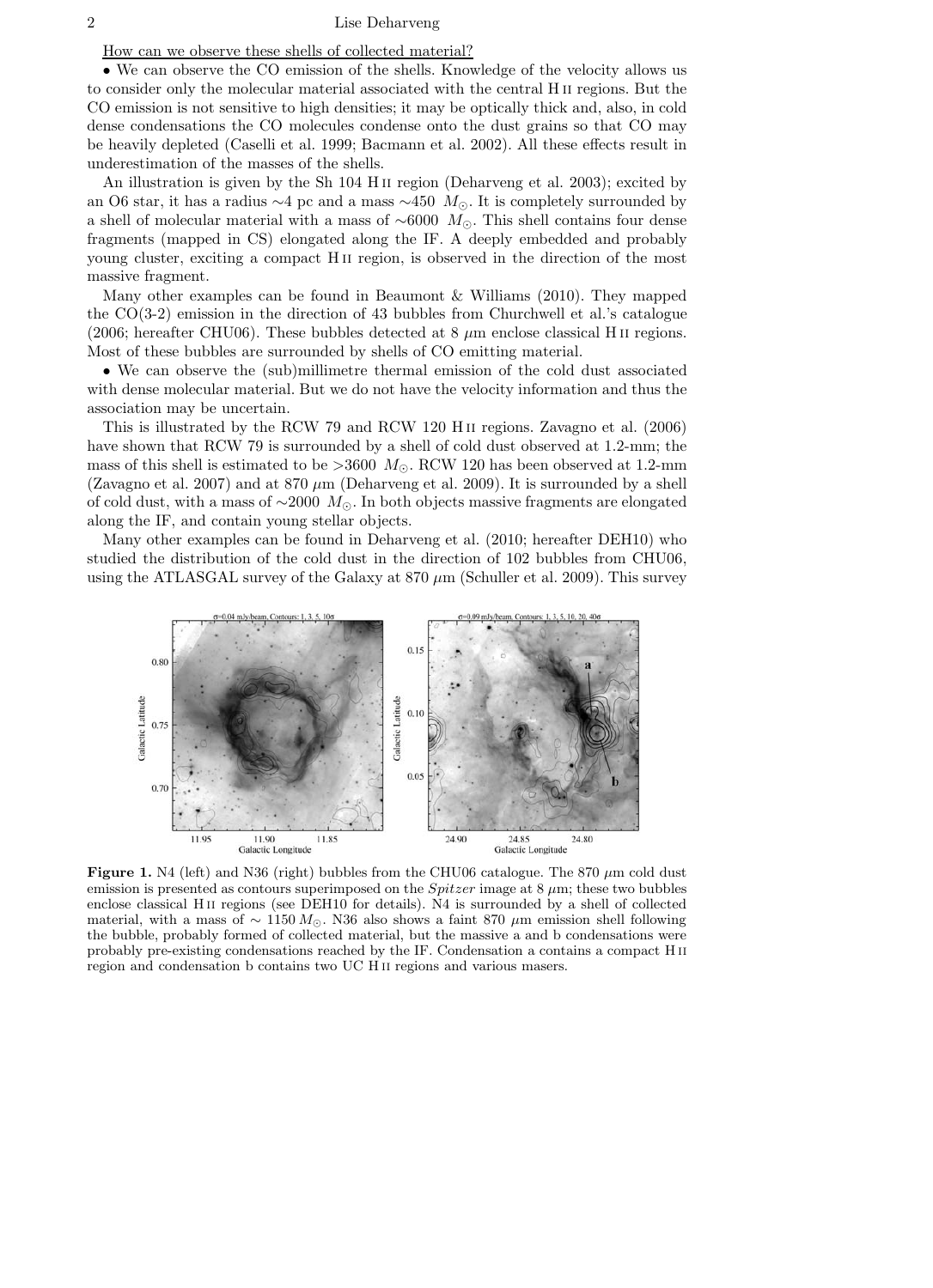2 Lise Deharveng

How can we observe these shells of collected material?

• We can observe the CO emission of the shells. Knowledge of the velocity allows us to consider only the molecular material associated with the central H<sub>II</sub> regions. But the CO emission is not sensitive to high densities; it may be optically thick and, also, in cold dense condensations the CO molecules condense onto the dust grains so that CO may be heavily depleted (Caselli et al. 1999; Bacmann et al. 2002). All these effects result in underestimation of the masses of the shells.

An illustration is given by the Sh 104 H II region (Deharveng et al. 2003); excited by an O6 star, it has a radius  $\sim$ 4 pc and a mass  $\sim$ 450 M<sub>o</sub>. It is completely surrounded by a shell of molecular material with a mass of ∼6000  $M_{\odot}$ . This shell contains four dense fragments (mapped in CS) elongated along the IF. A deeply embedded and probably young cluster, exciting a compact H<sub>II</sub> region, is observed in the direction of the most massive fragment.

Many other examples can be found in Beaumont & Williams (2010). They mapped the CO(3-2) emission in the direction of 43 bubbles from Churchwell et al.'s catalogue (2006; hereafter CHU06). These bubbles detected at 8  $\mu$ m enclose classical H II regions. Most of these bubbles are surrounded by shells of CO emitting material.

• We can observe the (sub)millimetre thermal emission of the cold dust associated with dense molecular material. But we do not have the velocity information and thus the association may be uncertain.

This is illustrated by the RCW 79 and RCW 120 H ii regions. Zavagno et al. (2006) have shown that RCW 79 is surrounded by a shell of cold dust observed at 1.2-mm; the mass of this shell is estimated to be  $>3600$   $M_{\odot}$ . RCW 120 has been observed at 1.2-mm (Zavagno et al. 2007) and at 870  $\mu$ m (Deharveng et al. 2009). It is surrounded by a shell of cold dust, with a mass of  $\sim$ 2000  $M_{\odot}$ . In both objects massive fragments are elongated along the IF, and contain young stellar objects.

Many other examples can be found in Deharveng et al. (2010; hereafter DEH10) who studied the distribution of the cold dust in the direction of 102 bubbles from CHU06, using the ATLASGAL survey of the Galaxy at 870  $\mu$ m (Schuller et al. 2009). This survey



**Figure 1.** N4 (left) and N36 (right) bubbles from the CHU06 catalogue. The 870 *µ*m cold dust emission is presented as contours superimposed on the *Spitzer* image at 8 *µ*m; these two bubbles enclose classical H<sub>II</sub> regions (see DEH<sub>10</sub> for details). N<sub>4</sub> is surrounded by a shell of collected material, with a mass of ∼ 1150 *M*. N36 also shows a faint 870 *µ*m emission shell following the bubble, probably formed of collected material, but the massive a and b condensations were probably pre-existing condensations reached by the IF. Condensation a contains a compact H ii region and condensation b contains two UC H ii regions and various masers.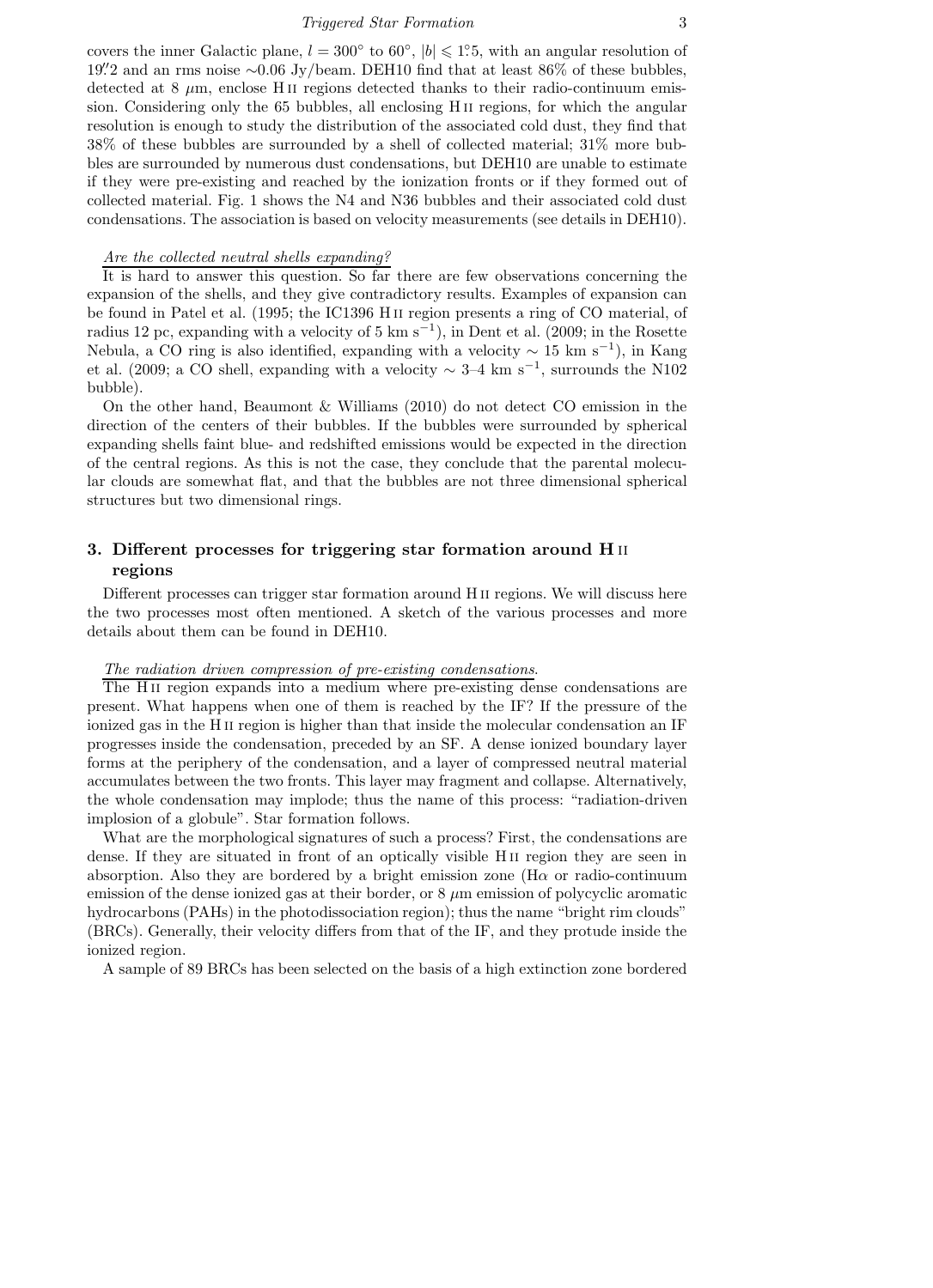#### *Triggered Star Formation* 3

covers the inner Galactic plane,  $l = 300^{\circ}$  to  $60^{\circ}$ ,  $|b| \leq 1.5$ , with an angular resolution of 19. 2 and an rms noise ∼0.06 Jy/beam. DEH10 find that at least 86% of these bubbles, detected at  $8 \mu m$ , enclose H<sub>II</sub> regions detected thanks to their radio-continuum emission. Considering only the 65 bubbles, all enclosing H<sub>II</sub> regions, for which the angular resolution is enough to study the distribution of the associated cold dust, they find that 38% of these bubbles are surrounded by a shell of collected material; 31% more bubbles are surrounded by numerous dust condensations, but DEH10 are unable to estimate if they were pre-existing and reached by the ionization fronts or if they formed out of collected material. Fig. 1 shows the N4 and N36 bubbles and their associated cold dust condensations. The association is based on velocity measurements (see details in DEH10).

#### *Are the collected neutral shells expanding?*

It is hard to answer this question. So far there are few observations concerning the expansion of the shells, and they give contradictory results. Examples of expansion can be found in Patel et al. (1995; the IC1396 H ii region presents a ring of CO material, of radius 12 pc, expanding with a velocity of 5 km s<sup>-1</sup>), in Dent et al. (2009; in the Rosette Nebula, a CO ring is also identified, expanding with a velocity  $\sim 15 \text{ km s}^{-1}$ ), in Kang et al. (2009; a CO shell, expanding with a velocity  $\sim$  3–4 km s<sup>−1</sup>, surrounds the N102 bubble).

On the other hand, Beaumont & Williams (2010) do not detect CO emission in the direction of the centers of their bubbles. If the bubbles were surrounded by spherical expanding shells faint blue- and redshifted emissions would be expected in the direction of the central regions. As this is not the case, they conclude that the parental molecular clouds are somewhat flat, and that the bubbles are not three dimensional spherical structures but two dimensional rings.

## **3. Different processes for triggering star formation around H** ii **regions**

Different processes can trigger star formation around H<sub>II</sub> regions. We will discuss here the two processes most often mentioned. A sketch of the various processes and more details about them can be found in DEH10.

#### *The radiation driven compression of pre-existing condensations*.

The H<sub>II</sub> region expands into a medium where pre-existing dense condensations are present. What happens when one of them is reached by the IF? If the pressure of the ionized gas in the H<sub>II</sub> region is higher than that inside the molecular condensation an IF progresses inside the condensation, preceded by an SF. A dense ionized boundary layer forms at the periphery of the condensation, and a layer of compressed neutral material accumulates between the two fronts. This layer may fragment and collapse. Alternatively, the whole condensation may implode; thus the name of this process: "radiation-driven implosion of a globule". Star formation follows.

What are the morphological signatures of such a process? First, the condensations are dense. If they are situated in front of an optically visible H ii region they are seen in absorption. Also they are bordered by a bright emission zone ( $H\alpha$  or radio-continuum emission of the dense ionized gas at their border, or  $8 \mu$ m emission of polycyclic aromatic hydrocarbons (PAHs) in the photodissociation region); thus the name "bright rim clouds" (BRCs). Generally, their velocity differs from that of the IF, and they protude inside the ionized region.

A sample of 89 BRCs has been selected on the basis of a high extinction zone bordered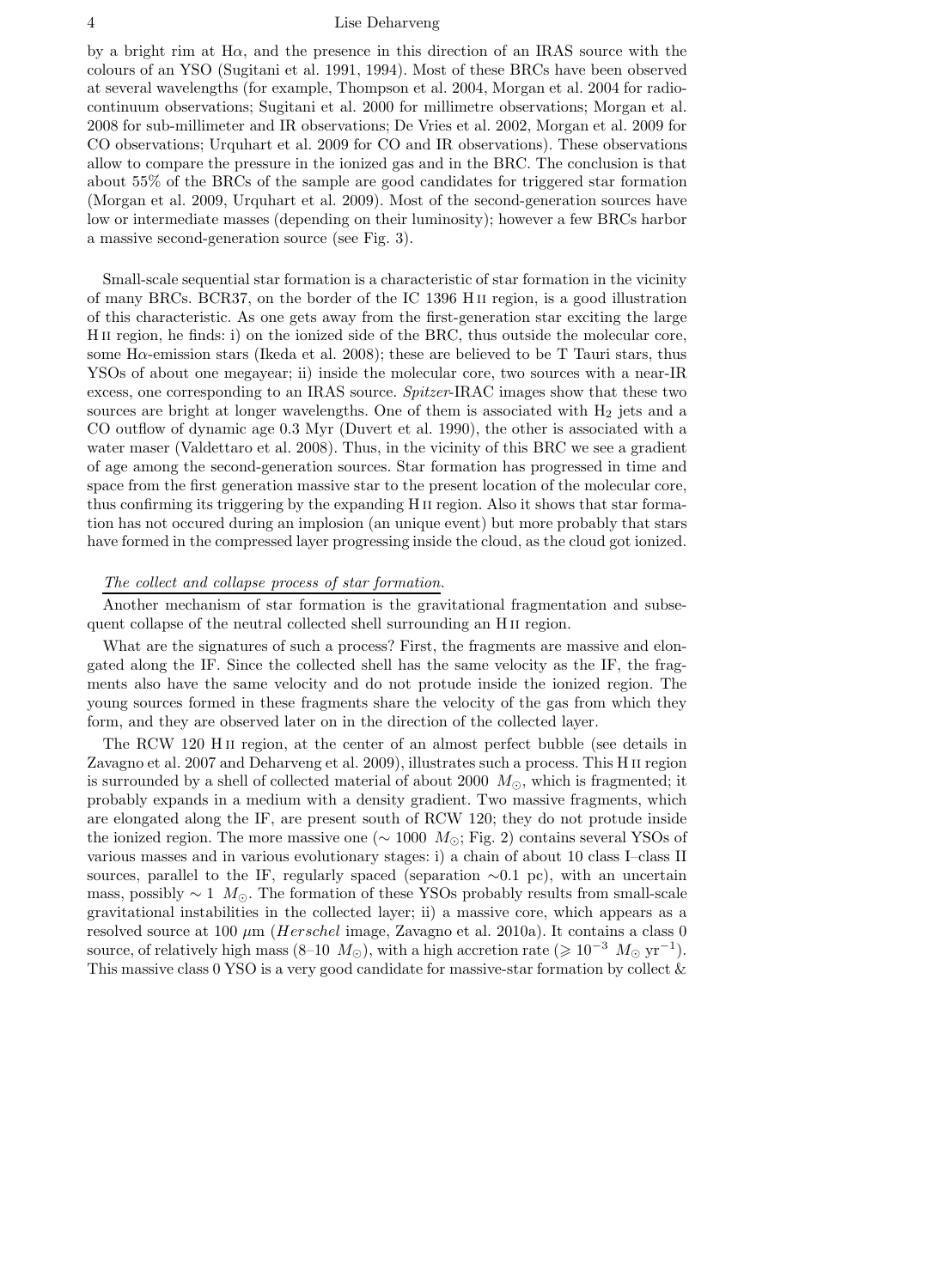#### 4 Lise Deharveng

by a bright rim at  $H\alpha$ , and the presence in this direction of an IRAS source with the colours of an YSO (Sugitani et al. 1991, 1994). Most of these BRCs have been observed at several wavelengths (for example, Thompson et al. 2004, Morgan et al. 2004 for radiocontinuum observations; Sugitani et al. 2000 for millimetre observations; Morgan et al. 2008 for sub-millimeter and IR observations; De Vries et al. 2002, Morgan et al. 2009 for CO observations; Urquhart et al. 2009 for CO and IR observations). These observations allow to compare the pressure in the ionized gas and in the BRC. The conclusion is that about 55% of the BRCs of the sample are good candidates for triggered star formation (Morgan et al. 2009, Urquhart et al. 2009). Most of the second-generation sources have low or intermediate masses (depending on their luminosity); however a few BRCs harbor a massive second-generation source (see Fig. 3).

Small-scale sequential star formation is a characteristic of star formation in the vicinity of many BRCs. BCR37, on the border of the IC 1396 H ii region, is a good illustration of this characteristic. As one gets away from the first-generation star exciting the large HII region, he finds: i) on the ionized side of the BRC, thus outside the molecular core, some Hα-emission stars (Ikeda et al. 2008); these are believed to be T Tauri stars, thus YSOs of about one megayear; ii) inside the molecular core, two sources with a near-IR excess, one corresponding to an IRAS source. *Spitzer*-IRAC images show that these two sources are bright at longer wavelengths. One of them is associated with  $H_2$  jets and a CO outflow of dynamic age 0.3 Myr (Duvert et al. 1990), the other is associated with a water maser (Valdettaro et al. 2008). Thus, in the vicinity of this BRC we see a gradient of age among the second-generation sources. Star formation has progressed in time and space from the first generation massive star to the present location of the molecular core, thus confirming its triggering by the expanding H ii region. Also it shows that star formation has not occured during an implosion (an unique event) but more probably that stars have formed in the compressed layer progressing inside the cloud, as the cloud got ionized.

#### *The collect and collapse process of star formation*.

Another mechanism of star formation is the gravitational fragmentation and subsequent collapse of the neutral collected shell surrounding an H ii region.

What are the signatures of such a process? First, the fragments are massive and elongated along the IF. Since the collected shell has the same velocity as the IF, the fragments also have the same velocity and do not protude inside the ionized region. The young sources formed in these fragments share the velocity of the gas from which they form, and they are observed later on in the direction of the collected layer.

The RCW 120 H<sub>II</sub> region, at the center of an almost perfect bubble (see details in Zavagno et al. 2007 and Deharveng et al. 2009), illustrates such a process. This H<sub>II</sub> region is surrounded by a shell of collected material of about 2000  $M_{\odot}$ , which is fragmented; it probably expands in a medium with a density gradient. Two massive fragments, which are elongated along the IF, are present south of RCW 120; they do not protude inside the ionized region. The more massive one ( $\sim 1000 M_{\odot}$ ; Fig. 2) contains several YSOs of various masses and in various evolutionary stages: i) a chain of about 10 class I–class II sources, parallel to the IF, regularly spaced (separation  $\sim 0.1$  pc), with an uncertain mass, possibly  $\sim 1$  M<sub> $\odot$ </sub>. The formation of these YSOs probably results from small-scale gravitational instabilities in the collected layer; ii) a massive core, which appears as a resolved source at 100  $\mu$ m (*Herschel* image, Zavagno et al. 2010a). It contains a class 0 source, of relatively high mass (8–10  $M_{\odot}$ ), with a high accretion rate ( $\geq 10^{-3}$   $M_{\odot}$  yr<sup>-1</sup>). This massive class 0 YSO is a very good candidate for massive-star formation by collect &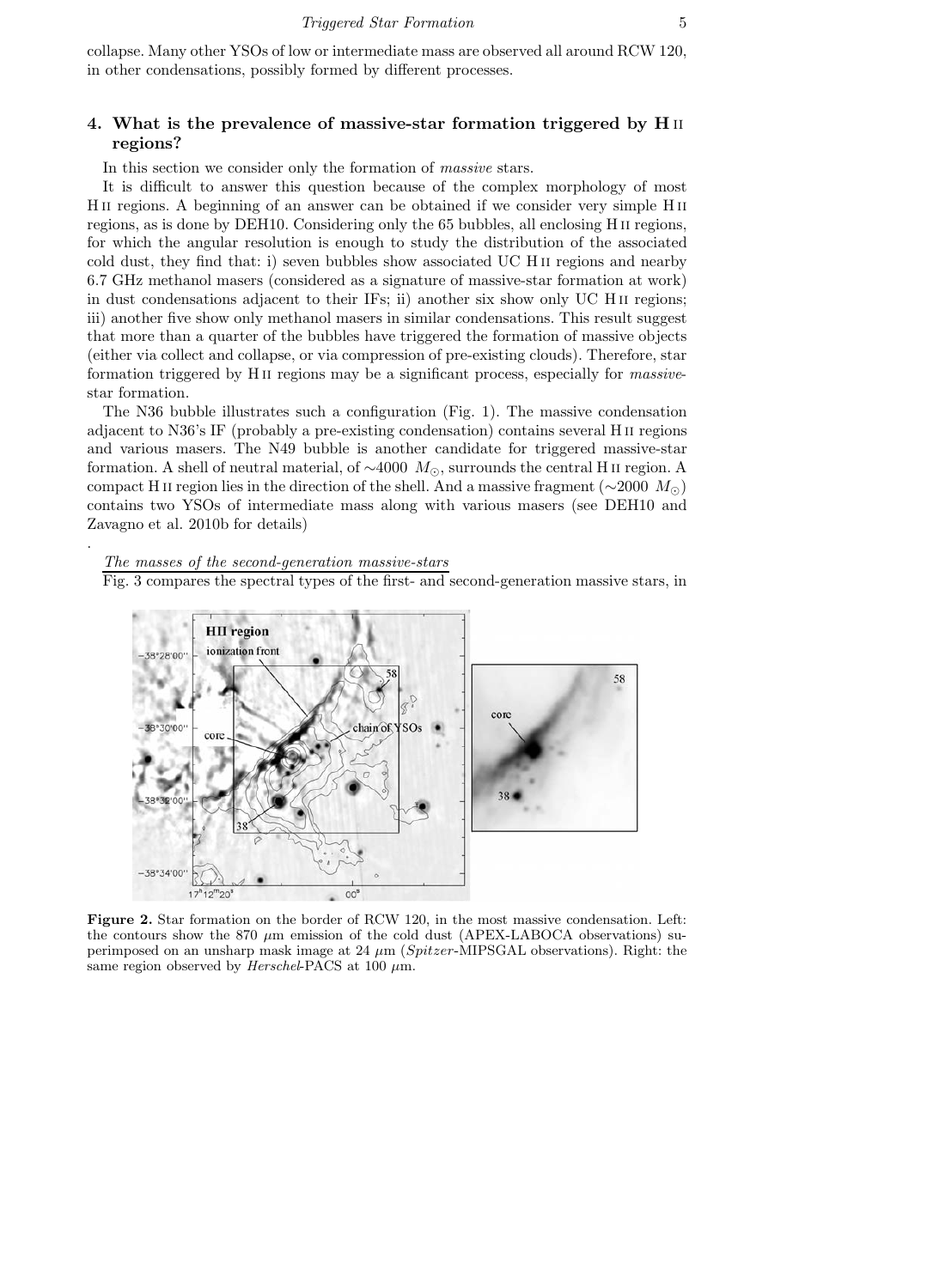collapse. Many other YSOs of low or intermediate mass are observed all around RCW 120, in other condensations, possibly formed by different processes.

## **4. What is the prevalence of massive-star formation triggered by H** ii **regions?**

In this section we consider only the formation of *massive* stars.

It is difficult to answer this question because of the complex morphology of most H<sub>II</sub> regions. A beginning of an answer can be obtained if we consider very simple H<sub>II</sub> regions, as is done by DEH10. Considering only the 65 bubbles, all enclosing H II regions, for which the angular resolution is enough to study the distribution of the associated cold dust, they find that: i) seven bubbles show associated UC H<sub>II</sub> regions and nearby 6.7 GHz methanol masers (considered as a signature of massive-star formation at work) in dust condensations adjacent to their IFs; ii) another six show only UC H<sub>II</sub> regions; iii) another five show only methanol masers in similar condensations. This result suggest that more than a quarter of the bubbles have triggered the formation of massive objects (either via collect and collapse, or via compression of pre-existing clouds). Therefore, star formation triggered by H ii regions may be a significant process, especially for *massive*star formation.

The N36 bubble illustrates such a configuration (Fig. 1). The massive condensation adjacent to N36's IF (probably a pre-existing condensation) contains several H<sub>II</sub> regions and various masers. The N49 bubble is another candidate for triggered massive-star formation. A shell of neutral material, of  $\sim$ 4000  $M_{\odot}$ , surrounds the central H II region. A compact H II region lies in the direction of the shell. And a massive fragment (∼2000  $M_{\odot}$ ) contains two YSOs of intermediate mass along with various masers (see DEH10 and Zavagno et al. 2010b for details)

*The masses of the second-generation massive-stars*

.

Fig. 3 compares the spectral types of the first- and second-generation massive stars, in



**Figure 2.** Star formation on the border of RCW 120, in the most massive condensation. Left: the contours show the 870  $\mu$ m emission of the cold dust (APEX-LABOCA observations) superimposed on an unsharp mask image at 24 *µ*m (*Spitzer*-MIPSGAL observations). Right: the same region observed by *Herschel*-PACS at 100  $\mu$ m.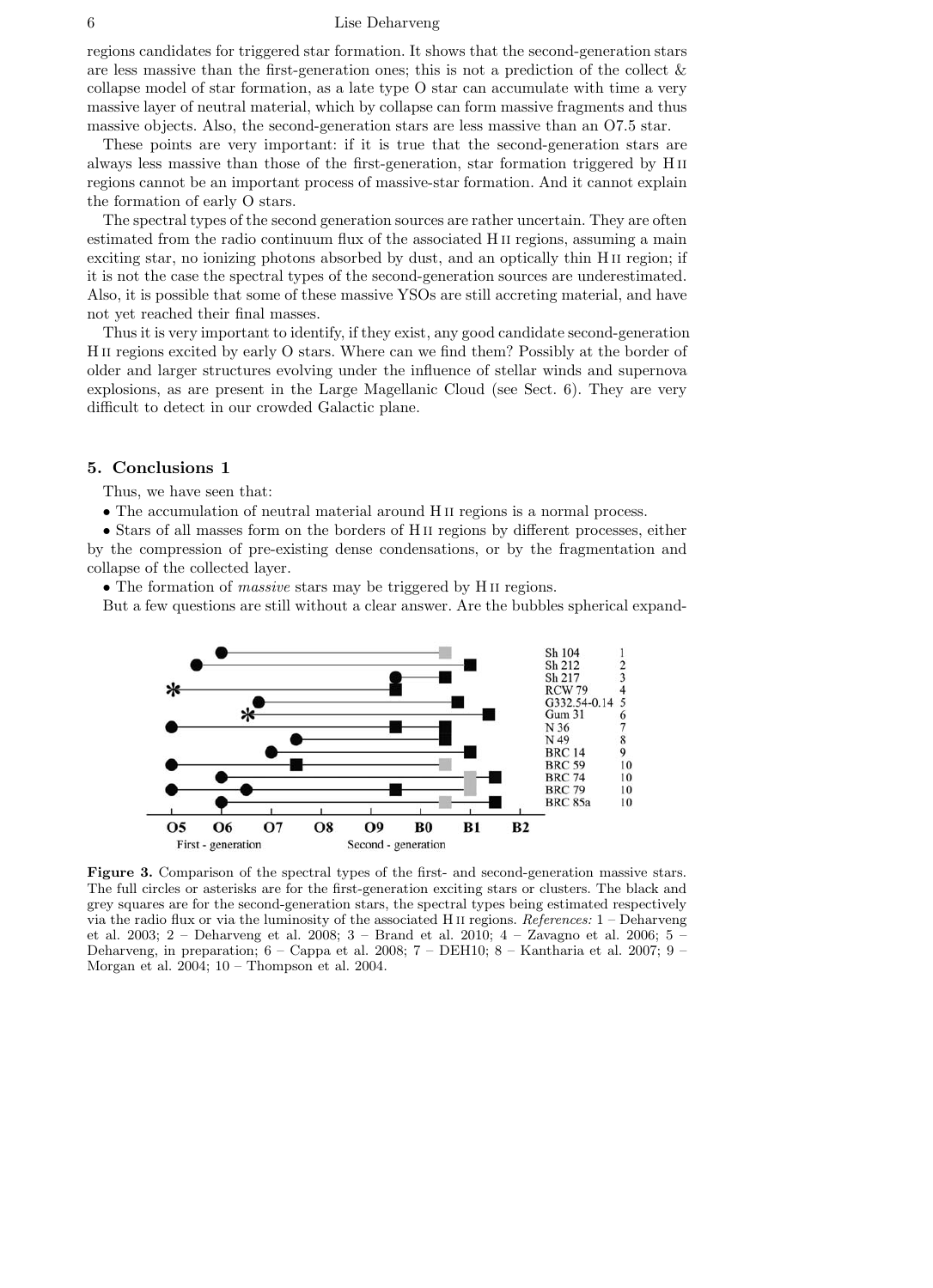#### 6 Lise Deharveng

regions candidates for triggered star formation. It shows that the second-generation stars are less massive than the first-generation ones; this is not a prediction of the collect  $\&$ collapse model of star formation, as a late type O star can accumulate with time a very massive layer of neutral material, which by collapse can form massive fragments and thus massive objects. Also, the second-generation stars are less massive than an O7.5 star.

These points are very important: if it is true that the second-generation stars are always less massive than those of the first-generation, star formation triggered by H ii regions cannot be an important process of massive-star formation. And it cannot explain the formation of early O stars.

The spectral types of the second generation sources are rather uncertain. They are often estimated from the radio continuum flux of the associated H<sub>II</sub> regions, assuming a main exciting star, no ionizing photons absorbed by dust, and an optically thin H<sub>II</sub> region; if it is not the case the spectral types of the second-generation sources are underestimated. Also, it is possible that some of these massive YSOs are still accreting material, and have not yet reached their final masses.

Thus it is very important to identify, if they exist, any good candidate second-generation H<sub>II</sub> regions excited by early O stars. Where can we find them? Possibly at the border of older and larger structures evolving under the influence of stellar winds and supernova explosions, as are present in the Large Magellanic Cloud (see Sect. 6). They are very difficult to detect in our crowded Galactic plane.

## **5. Conclusions 1**

Thus, we have seen that:

• The accumulation of neutral material around H ii regions is a normal process.

• Stars of all masses form on the borders of H ii regions by different processes, either by the compression of pre-existing dense condensations, or by the fragmentation and collapse of the collected layer.

• The formation of *massive* stars may be triggered by H<sub>II</sub> regions.

But a few questions are still without a clear answer. Are the bubbles spherical expand-



**Figure 3.** Comparison of the spectral types of the first- and second-generation massive stars. The full circles or asterisks are for the first-generation exciting stars or clusters. The black and grey squares are for the second-generation stars, the spectral types being estimated respectively via the radio flux or via the luminosity of the associated H ii regions. *References:* 1 – Deharveng et al. 2003; 2 – Deharveng et al. 2008; 3 – Brand et al. 2010; 4 – Zavagno et al. 2006; 5 – Deharveng, in preparation; 6 – Cappa et al. 2008; 7 – DEH10; 8 – Kantharia et al. 2007; 9 – Morgan et al. 2004; 10 – Thompson et al. 2004.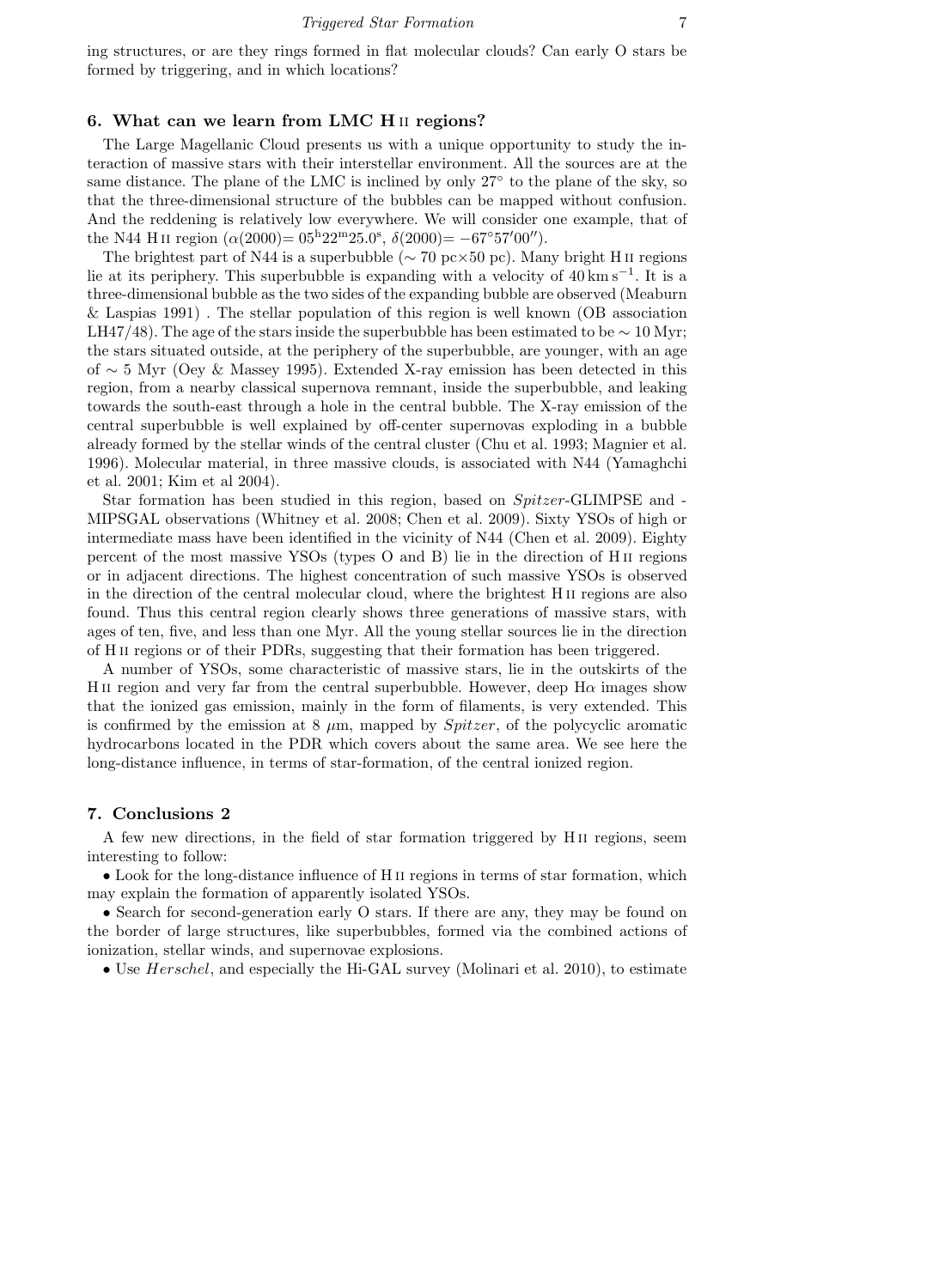ing structures, or are they rings formed in flat molecular clouds? Can early O stars be formed by triggering, and in which locations?

## **6. What can we learn from LMC H** ii **regions?**

The Large Magellanic Cloud presents us with a unique opportunity to study the interaction of massive stars with their interstellar environment. All the sources are at the same distance. The plane of the LMC is inclined by only  $27°$  to the plane of the sky, so that the three-dimensional structure of the bubbles can be mapped without confusion. And the reddening is relatively low everywhere. We will consider one example, that of the N44 H<sub>II</sub> region  $(\alpha(2000) = 05^{\circ}2^{\circ}2^{\circ}25.0^{\circ}, \delta(2000) = -67^{\circ}57'00'')$ .

The brightest part of N44 is a superbubble ( $\sim$  70 pc×50 pc). Many bright H II regions lie at its periphery. This superbubble is expanding with a velocity of  $40 \text{ km s}^{-1}$ . It is a three-dimensional bubble as the two sides of the expanding bubble are observed (Meaburn & Laspias 1991) . The stellar population of this region is well known (OB association LH47/48). The age of the stars inside the superbubble has been estimated to be  $\sim 10$  Myr; the stars situated outside, at the periphery of the superbubble, are younger, with an age of ∼ 5 Myr (Oey & Massey 1995). Extended X-ray emission has been detected in this region, from a nearby classical supernova remnant, inside the superbubble, and leaking towards the south-east through a hole in the central bubble. The X-ray emission of the central superbubble is well explained by off-center supernovas exploding in a bubble already formed by the stellar winds of the central cluster (Chu et al. 1993; Magnier et al. 1996). Molecular material, in three massive clouds, is associated with N44 (Yamaghchi et al. 2001; Kim et al 2004).

Star formation has been studied in this region, based on Spitzer-GLIMPSE and - MIPSGAL observations (Whitney et al. 2008; Chen et al. 2009). Sixty YSOs of high or intermediate mass have been identified in the vicinity of N44 (Chen et al. 2009). Eighty percent of the most massive YSOs (types  $O$  and  $B$ ) lie in the direction of  $H_{II}$  regions or in adjacent directions. The highest concentration of such massive YSOs is observed in the direction of the central molecular cloud, where the brightest H ii regions are also found. Thus this central region clearly shows three generations of massive stars, with ages of ten, five, and less than one Myr. All the young stellar sources lie in the direction of H ii regions or of their PDRs, suggesting that their formation has been triggered.

A number of YSOs, some characteristic of massive stars, lie in the outskirts of the H<sub>II</sub> region and very far from the central superbubble. However, deep  $H\alpha$  images show that the ionized gas emission, mainly in the form of filaments, is very extended. This is confirmed by the emission at 8  $\mu$ m, mapped by *Spitzer*, of the polycyclic aromatic hydrocarbons located in the PDR which covers about the same area. We see here the long-distance influence, in terms of star-formation, of the central ionized region.

#### **7. Conclusions 2**

A few new directions, in the field of star formation triggered by H<sub>II</sub> regions, seem interesting to follow:

• Look for the long-distance influence of H<sub>II</sub> regions in terms of star formation, which may explain the formation of apparently isolated YSOs.

• Search for second-generation early O stars. If there are any, they may be found on the border of large structures, like superbubbles, formed via the combined actions of ionization, stellar winds, and supernovae explosions.

• Use *Herschel*, and especially the Hi-GAL survey (Molinari et al. 2010), to estimate